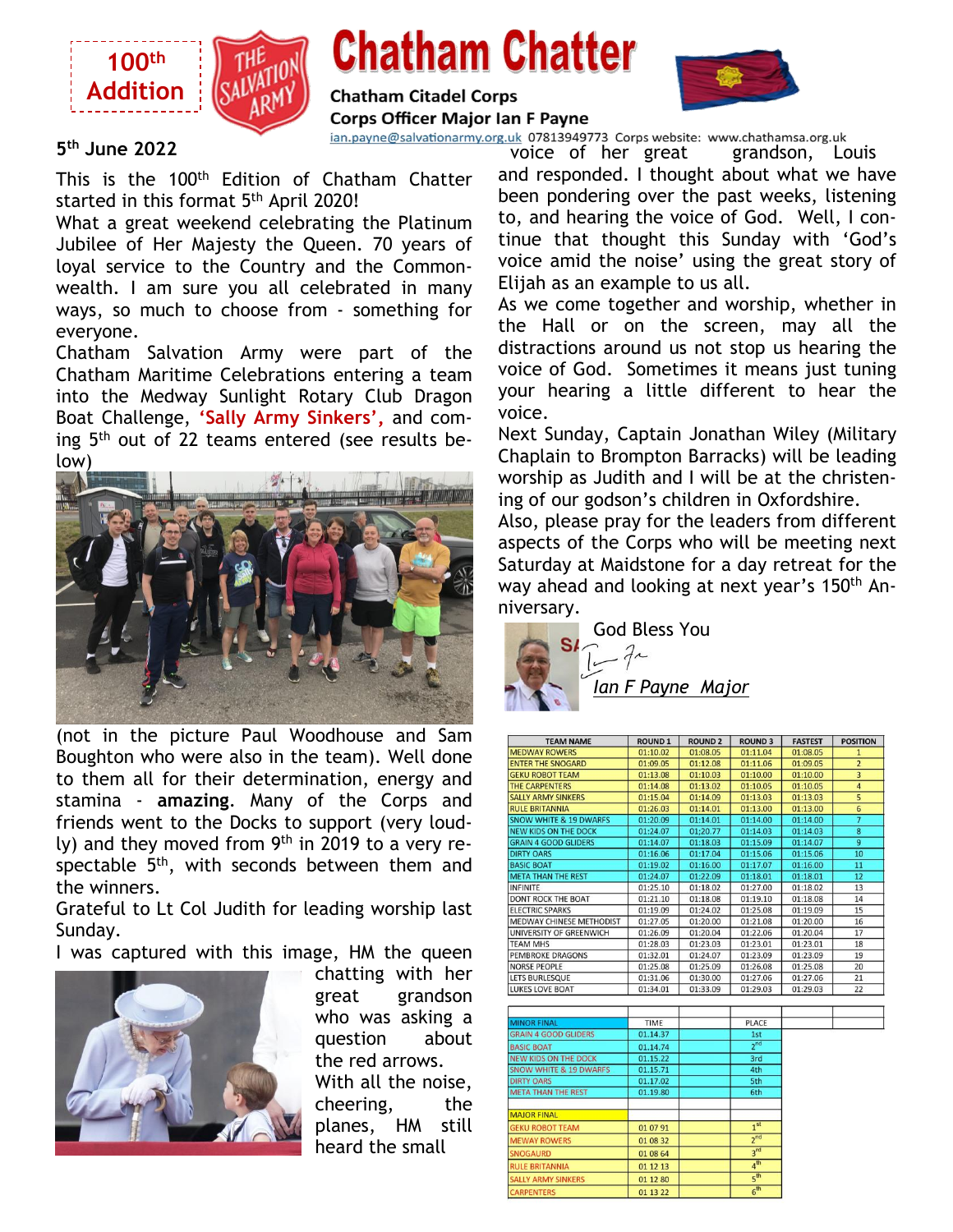

# **Chatham Chatter**



**Chatham Citadel Corps Corps Officer Major Ian F Payne** 

ian.payne@salvationarmy.org.uk 07813949773 Corps website: www.chathamsa.org.uk

#### **5 th June 2022**

This is the 100<sup>th</sup> Edition of Chatham Chatter started in this format 5<sup>th</sup> April 2020!

What a great weekend celebrating the Platinum Jubilee of Her Majesty the Queen. 70 years of loyal service to the Country and the Commonwealth. I am sure you all celebrated in many ways, so much to choose from - something for everyone.

Chatham Salvation Army were part of the Chatham Maritime Celebrations entering a team into the Medway Sunlight Rotary Club Dragon Boat Challenge, **'Sally Army Sinkers',** and coming 5<sup>th</sup> out of 22 teams entered (see results below)



(not in the picture Paul Woodhouse and Sam Boughton who were also in the team). Well done to them all for their determination, energy and stamina - **amazing**. Many of the Corps and friends went to the Docks to support (very loudly) and they moved from 9<sup>th</sup> in 2019 to a very respectable 5<sup>th</sup>, with seconds between them and the winners.

Grateful to Lt Col Judith for leading worship last Sunday.

I was captured with this image, HM the queen



chatting with her great grandson who was asking a question about the red arrows. With all the noise, cheering, the planes, HM still heard the small

voice of her great grandson, Louis and responded. I thought about what we have been pondering over the past weeks, listening to, and hearing the voice of God. Well, I continue that thought this Sunday with 'God's voice amid the noise' using the great story of Elijah as an example to us all.

As we come together and worship, whether in the Hall or on the screen, may all the distractions around us not stop us hearing the voice of God. Sometimes it means just tuning your hearing a little different to hear the voice.

Next Sunday, Captain Jonathan Wiley (Military Chaplain to Brompton Barracks) will be leading worship as Judith and I will be at the christening of our godson's children in Oxfordshire.

Also, please pray for the leaders from different aspects of the Corps who will be meeting next Saturday at Maidstone for a day retreat for the way ahead and looking at next year's 150<sup>th</sup> Anniversary.



| <b>TEAM NAME</b>                  | <b>ROUND 1</b> | <b>ROUND 2</b> | <b>ROUND 3</b>  | <b>FASTEST</b> | <b>POSITION</b>         |
|-----------------------------------|----------------|----------------|-----------------|----------------|-------------------------|
| <b>MEDWAY ROWERS</b>              | 01:10.02       | 01:08.05       | 01:11.04        | 01:08.05       | $\mathbf{1}$            |
| <b>ENTER THE SNOGARD</b>          | 01:09.05       | 01:12.08       | 01:11.06        | 01:09.05       | $\overline{2}$          |
| <b>GEKU ROBOT TEAM</b>            | 01:13.08       | 01:10.03       | 01:10.00        | 01:10.00       | $\overline{3}$          |
| THE CARPENTERS                    | 01:14.08       | 01:13.02       | 01:10.05        | 01:10.05       | $\overline{4}$          |
| <b>SALLY ARMY SINKERS</b>         | 01:15.04       | 01:14.09       | 01:13.03        | 01:13.03       | 5                       |
| <b>RULE BRITANNIA</b>             | 01:26.03       | 01:14.01       | 01:13.00        | 01:13.00       | 6                       |
| <b>SNOW WHITE &amp; 19 DWARFS</b> | 01:20.09       | 01:14.01       | 01:14.00        | 01:14.00       | $\overline{7}$          |
| NEW KIDS ON THE DOCK              | 01:24.07       | 01:20.77       | 01:14.03        | 01:14.03       | $\overline{\mathbf{8}}$ |
| <b>GRAIN 4 GOOD GLIDERS</b>       | 01:14.07       | 01:18.03       | 01:15.09        | 01:14.07       | $\overline{9}$          |
| <b>DIRTY OARS</b>                 | 01:16.06       | 01:17.04       | 01:15.06        | 01:15.06       | 10                      |
| <b>BASIC BOAT</b>                 | 01:19.02       | 01:16.00       | 01:17.07        | 01:16.00       | 11                      |
| <b>META THAN THE REST</b>         | 01:24.07       | 01:22.09       | 01:18.01        | 01:18.01       | 12                      |
| <b>INFINITE</b>                   | 01:25.10       | 01:18.02       | 01:27.00        | 01:18.02       | 13                      |
| <b>DONT ROCK THE BOAT</b>         | 01:21.10       | 01:18.08       | 01:19.10        | 01:18.08       | 14                      |
| <b>ELECTRIC SPARKS</b>            | 01:19.09       | 01:24.02       | 01:25.08        | 01:19.09       | 15                      |
| <b>MEDWAY CHINESE METHODIST</b>   | 01:27.05       | 01:20.00       | 01:21.08        | 01:20.00       | 16                      |
| UNIVERSITY OF GREENWICH           | 01:26.09       | 01:20.04       | 01:22.06        | 01:20.04       | 17                      |
| <b>TEAM MHS</b>                   | 01:28.03       | 01:23.03       | 01:23.01        | 01:23.01       | 18                      |
| <b>PEMBROKE DRAGONS</b>           | 01:32.01       | 01:24.07       | 01:23.09        | 01:23.09       | 19                      |
| <b>NORSE PEOPLE</b>               | 01:25.08       | 01:25.09       | 01:26.08        | 01:25.08       | 20                      |
| LETS BURLESQUE                    | 01:31.06       | 01:30.00       | 01:27.06        | 01:27.06       | 21                      |
| LUKES LOVE BOAT                   | 01:34.01       | 01:33.09       | 01:29.03        | 01:29.03       | 22                      |
|                                   |                |                |                 |                |                         |
|                                   |                |                |                 |                |                         |
| <b>MINOR FINAL</b>                | <b>TIME</b>    |                | PLACE           |                |                         |
| <b>GRAIN 4 GOOD GLIDERS</b>       | 01.14.37       |                | 1st             |                |                         |
| <b>BASIC BOAT</b>                 | 01.14.74       |                | $2^{nd}$        |                |                         |
| <b>NEW KIDS ON THE DOCK</b>       | 01.15.22       |                | 3rd             |                |                         |
| <b>SNOW WHITE &amp; 19 DWARFS</b> | 01.15.71       |                | 4th             |                |                         |
| <b>DIRTY OARS</b>                 | 01.17.02       |                | 5th             |                |                         |
| <b>META THAN THE REST</b>         | 01.19.80       |                | 6th             |                |                         |
|                                   |                |                |                 |                |                         |
| <b>MAJOR FINAL</b>                |                |                |                 |                |                         |
| <b>GEKU ROBOT TEAM</b>            | 01 07 91       |                | 1 <sup>st</sup> |                |                         |
| <b>MEWAY ROWERS</b>               | 01 08 32       |                | 2 <sub>nd</sub> |                |                         |
|                                   |                |                |                 |                |                         |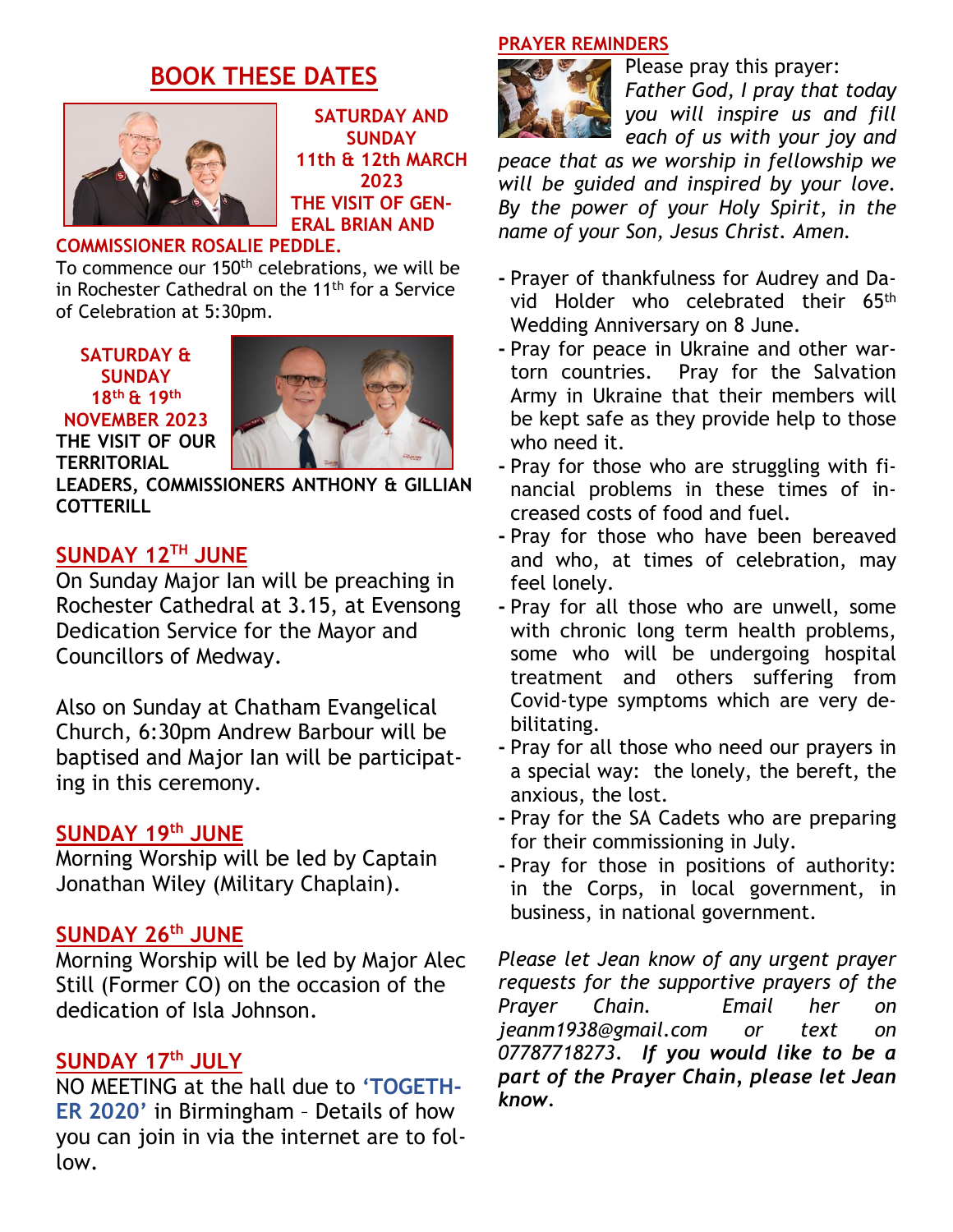## **BOOK THESE DATES**



**SATURDAY AND SUNDAY 11th & 12th MARCH 2023 THE VISIT OF GEN-ERAL BRIAN AND**

## **COMMISSIONER ROSALIE PEDDLE.**

To commence our 150<sup>th</sup> celebrations, we will be in Rochester Cathedral on the 11<sup>th</sup> for a Service of Celebration at 5:30pm.

**SATURDAY & SUNDAY 18th & 19th NOVEMBER 2023 THE VISIT OF OUR**

**TERRITORIAL**



**LEADERS, COMMISSIONERS ANTHONY & GILLIAN COTTERILL**

## **SUNDAY 12TH JUNE**

On Sunday Major Ian will be preaching in Rochester Cathedral at 3.15, at Evensong Dedication Service for the Mayor and Councillors of Medway.

Also on Sunday at Chatham Evangelical Church, 6:30pm Andrew Barbour will be baptised and Major Ian will be participating in this ceremony.

#### **SUNDAY 19th JUNE**

Morning Worship will be led by Captain Jonathan Wiley (Military Chaplain).

## **SUNDAY 26th JUNE**

Morning Worship will be led by Major Alec Still (Former CO) on the occasion of the dedication of Isla Johnson.

#### **SUNDAY 17th JULY**

NO MEETING at the hall due to **'TOGETH-ER 2020'** in Birmingham – Details of how you can join in via the internet are to follow.

#### **PRAYER REMINDERS**



Please pray this prayer: *Father God, I pray that today you will inspire us and fill each of us with your joy and*

*peace that as we worship in fellowship we will be guided and inspired by your love. By the power of your Holy Spirit, in the name of your Son, Jesus Christ. Amen.*

- **-** Prayer of thankfulness for Audrey and David Holder who celebrated their 65th Wedding Anniversary on 8 June.
- **-** Pray for peace in Ukraine and other wartorn countries. Pray for the Salvation Army in Ukraine that their members will be kept safe as they provide help to those who need it.
- **-** Pray for those who are struggling with financial problems in these times of increased costs of food and fuel.
- **-** Pray for those who have been bereaved and who, at times of celebration, may feel lonely.
- **-** Pray for all those who are unwell, some with chronic long term health problems, some who will be undergoing hospital treatment and others suffering from Covid-type symptoms which are very debilitating.
- **-** Pray for all those who need our prayers in a special way: the lonely, the bereft, the anxious, the lost.
- **-** Pray for the SA Cadets who are preparing for their commissioning in July.
- **-** Pray for those in positions of authority: in the Corps, in local government, in business, in national government.

*Please let Jean know of any urgent prayer requests for the supportive prayers of the Prayer Chain. Email her on jeanm1938@gmail.com or text on 07787718273. If you would like to be a part of the Prayer Chain, please let Jean know.*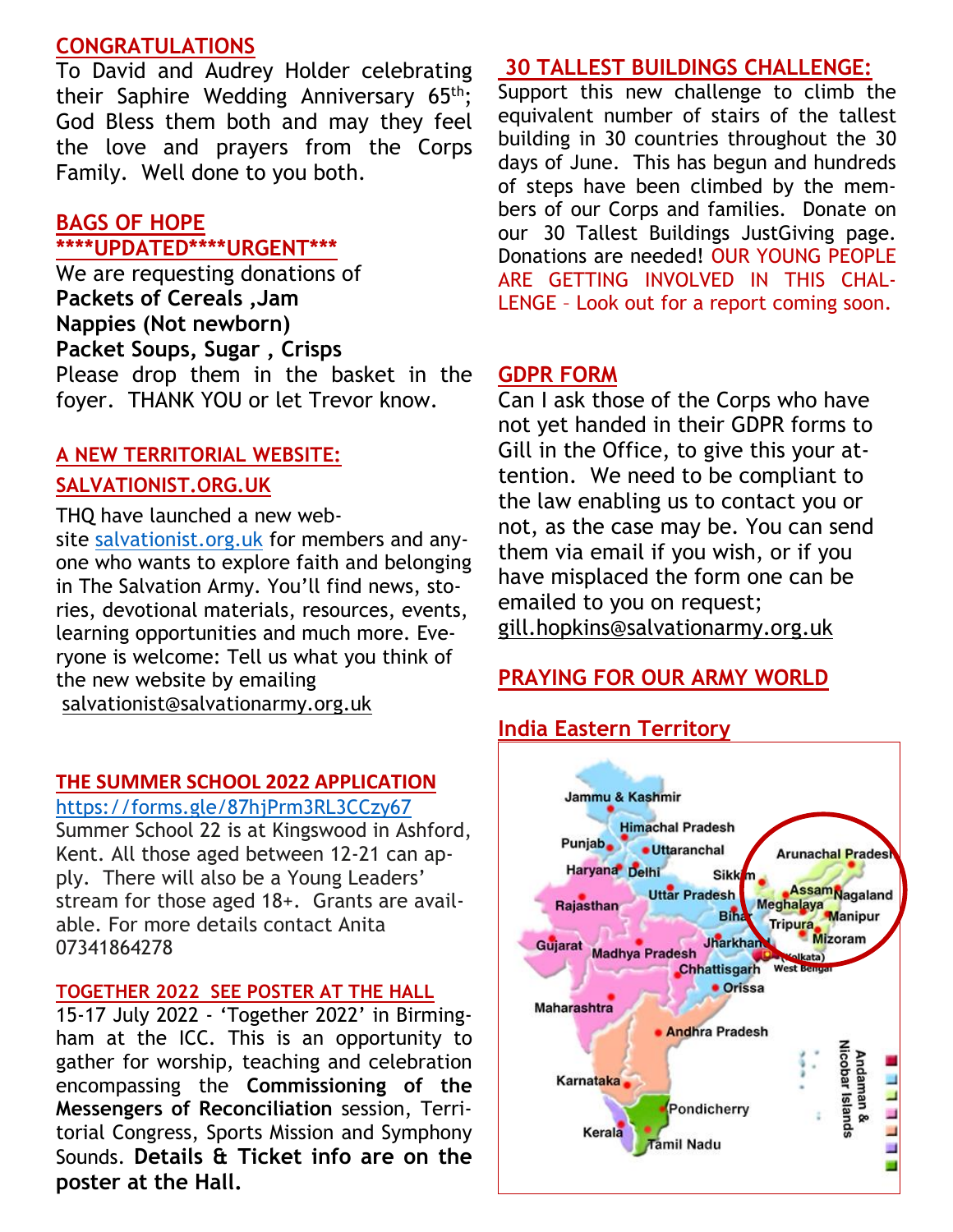## **CONGRATULATIONS**

To David and Audrey Holder celebrating their Saphire Wedding Anniversary 65<sup>th</sup>; God Bless them both and may they feel the love and prayers from the Corps Family. Well done to you both.

#### **BAGS OF HOPE \*\*\*\*UPDATED\*\*\*\*URGENT\*\*\***

We are requesting donations of **Packets of Cereals ,Jam Nappies (Not newborn) Packet Soups, Sugar , Crisps** Please drop them in the basket in the foyer. THANK YOU or let Trevor know.

## **A NEW TERRITORIAL WEBSITE: SALVATIONIST.ORG.UK**

THQ have launched a new website [salvationist.org.uk](https://www.salvationist.org.uk/) for members and anyone who wants to explore faith and belonging in The Salvation Army. You'll find news, stories, devotional materials, resources, events, learning opportunities and much more. Everyone is welcome: Tell us what you think of the new website by emailing [salvationist@salvationarmy.org.uk](mailto:salvationist@salvationarmy.org.uk)

#### **THE SUMMER SCHOOL 2022 APPLICATION**

#### <https://forms.gle/87hjPrm3RL3CCzy67>

Summer School 22 is at Kingswood in Ashford, Kent. All those aged between 12-21 can apply. There will also be a Young Leaders' stream for those aged 18+. Grants are available. For more details contact Anita 07341864278

#### **TOGETHER 2022 SEE POSTER AT THE HALL**

15-17 July 2022 - 'Together 2022' in Birmingham at the ICC. This is an opportunity to gather for worship, teaching and celebration encompassing the **Commissioning of the Messengers of Reconciliation** session, Territorial Congress, Sports Mission and Symphony Sounds. **Details & Ticket info are on the poster at the Hall.**

#### **30 TALLEST BUILDINGS CHALLENGE:**

Support this new challenge to climb the equivalent number of stairs of the tallest building in 30 countries throughout the 30 days of June. This has begun and hundreds of steps have been climbed by the members of our Corps and families. Donate on our 30 Tallest Buildings JustGiving page. Donations are needed! OUR YOUNG PEOPLE ARE GETTING INVOLVED IN THIS CHAL-LENGE – Look out for a report coming soon.

#### **GDPR FORM**

Can I ask those of the Corps who have not yet handed in their GDPR forms to Gill in the Office, to give this your attention. We need to be compliant to the law enabling us to contact you or not, as the case may be. You can send them via email if you wish, or if you have misplaced the form one can be emailed to you on request; [gill.hopkins@salvationarmy.org.uk](mailto:gill.hopkins@salvationarmy.org.uk)

## **PRAYING FOR OUR ARMY WORLD**

## **India Eastern Territory**

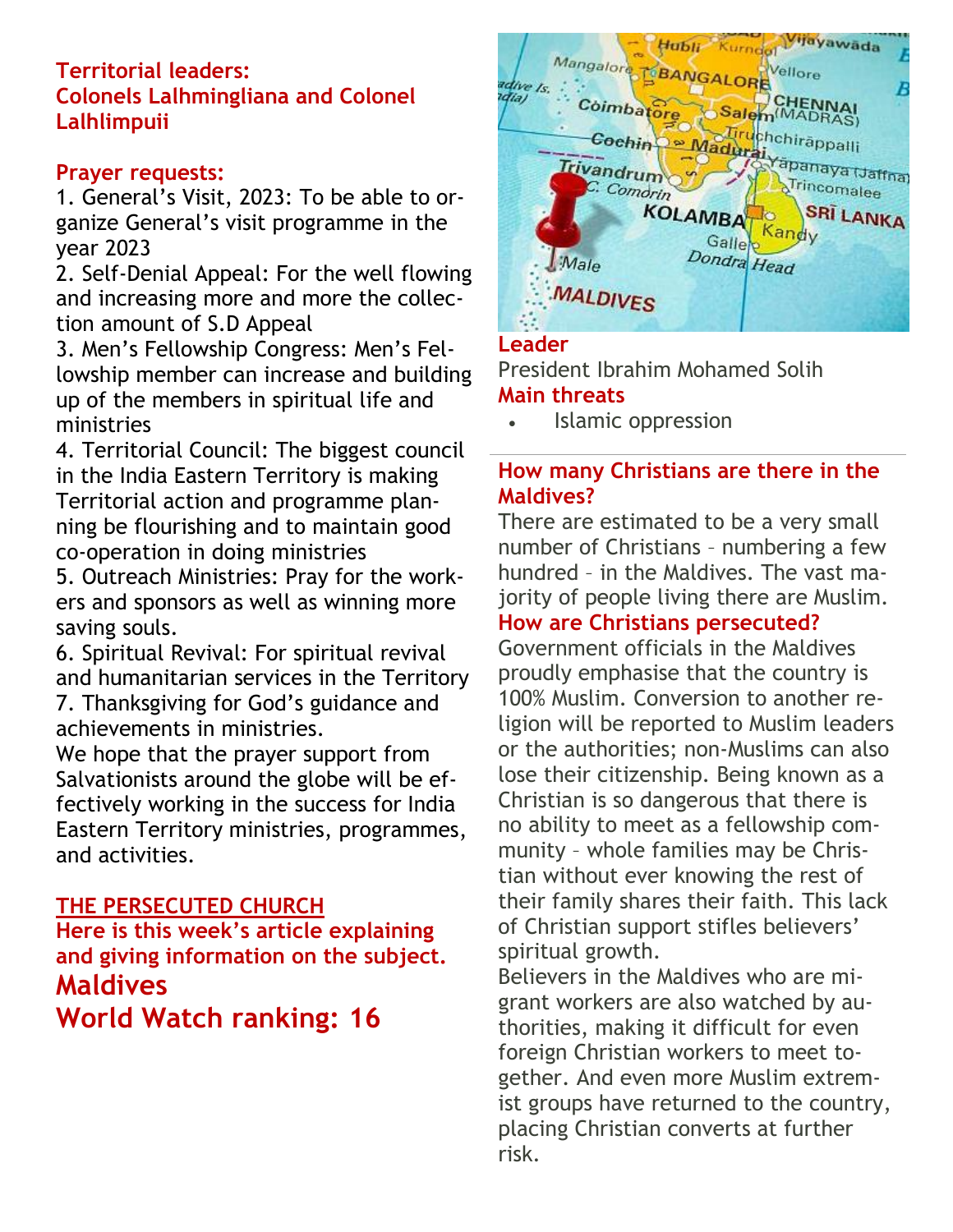## **Territorial leaders: Colonels Lalhmingliana and Colonel Lalhlimpuii**

## **Prayer requests:**

1. General's Visit, 2023: To be able to organize General's visit programme in the year 2023

2. Self-Denial Appeal: For the well flowing and increasing more and more the collection amount of S.D Appeal

3. Men's Fellowship Congress: Men's Fellowship member can increase and building up of the members in spiritual life and ministries

4. Territorial Council: The biggest council in the India Eastern Territory is making Territorial action and programme planning be flourishing and to maintain good co-operation in doing ministries

5. Outreach Ministries: Pray for the workers and sponsors as well as winning more saving souls.

6. Spiritual Revival: For spiritual revival and humanitarian services in the Territory 7. Thanksgiving for God's guidance and

achievements in ministries.

We hope that the prayer support from Salvationists around the globe will be effectively working in the success for India Eastern Territory ministries, programmes, and activities.

## **THE PERSECUTED CHURCH**

**Here is this week's article explaining and giving information on the subject. Maldives World Watch ranking: 16**



## **Leader**

President Ibrahim Mohamed Solih **Main threats**

• Islamic oppression

## **How many Christians are there in the Maldives?**

There are estimated to be a very small number of Christians – numbering a few hundred – in the Maldives. The vast majority of people living there are Muslim. **How are Christians persecuted?**

Government officials in the Maldives proudly emphasise that the country is 100% Muslim. Conversion to another religion will be reported to Muslim leaders or the authorities; non-Muslims can also lose their citizenship. Being known as a Christian is so dangerous that there is no ability to meet as a fellowship community – whole families may be Christian without ever knowing the rest of their family shares their faith. This lack of Christian support stifles believers' spiritual growth.

Believers in the Maldives who are migrant workers are also watched by authorities, making it difficult for even foreign Christian workers to meet together. And even more Muslim extremist groups have returned to the country, placing Christian converts at further risk.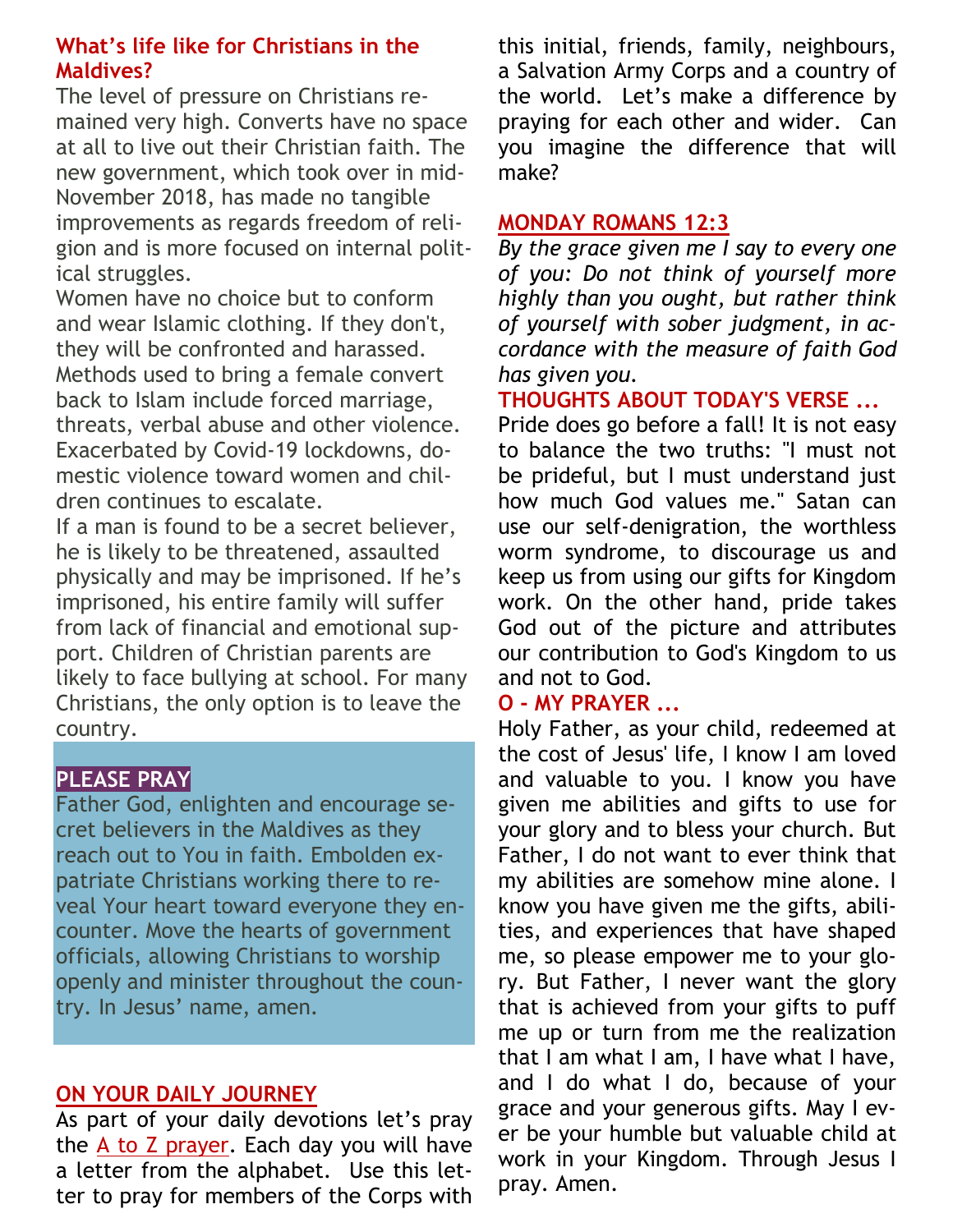## **What's life like for Christians in the Maldives?**

The level of pressure on Christians remained very high. Converts have no space at all to live out their Christian faith. The new government, which took over in mid-November 2018, has made no tangible improvements as regards freedom of religion and is more focused on internal political struggles.

Women have no choice but to conform and wear Islamic clothing. If they don't, they will be confronted and harassed. Methods used to bring a female convert back to Islam include forced marriage, threats, verbal abuse and other violence. Exacerbated by Covid-19 lockdowns, domestic violence toward women and children continues to escalate.

If a man is found to be a secret believer, he is likely to be threatened, assaulted physically and may be imprisoned. If he's imprisoned, his entire family will suffer from lack of financial and emotional support. Children of Christian parents are likely to face bullying at school. For many Christians, the only option is to leave the country.

## **PLEASE PRAY**

Father God, enlighten and encourage secret believers in the Maldives as they reach out to You in faith. Embolden expatriate Christians working there to reveal Your heart toward everyone they encounter. Move the hearts of government officials, allowing Christians to worship openly and minister throughout the country. In Jesus' name, amen.

## **ON YOUR DAILY JOURNEY**

As part of your daily devotions let's pray the A to Z prayer. Each day you will have a letter from the alphabet. Use this letter to pray for members of the Corps with this initial, friends, family, neighbours, a Salvation Army Corps and a country of the world. Let's make a difference by praying for each other and wider. Can you imagine the difference that will make?

## **MONDAY [ROMANS 12:3](https://www.biblestudytools.com/romans/12-3.html)**

*By the grace given me I say to every one of you: Do not think of yourself more highly than you ought, but rather think of yourself with sober judgment, in accordance with the measure of [faith](https://www.crosswalk.com/faith/) God has given you.*

**THOUGHTS ABOUT TODAY'S VERSE ...**

Pride does go before a fall! It is not easy to balance the two truths: "I must not be prideful, but I must understand just how much God values me." Satan can use our self-denigration, the worthless worm syndrome, to discourage us and keep us from using our gifts for Kingdom work. On the other hand, pride takes God out of the picture and attributes our contribution to God's Kingdom to us and not to God.

## **O - MY PRAYER ...**

Holy Father, as your child, redeemed at the cost of Jesus' life, I know I am loved and valuable to you. I know you have given me abilities and gifts to use for your glory and to bless your church. But Father, I do not want to ever think that my abilities are somehow mine alone. I know you have given me the gifts, abilities, and experiences that have shaped me, so please empower me to your glory. But Father, I never want the glory that is achieved from your gifts to puff me up or turn from me the realization that I am what I am, I have what I have, and I do what I do, because of your grace and your generous gifts. May I ever be your humble but valuable child at work in your Kingdom. Through Jesus I pray. Amen.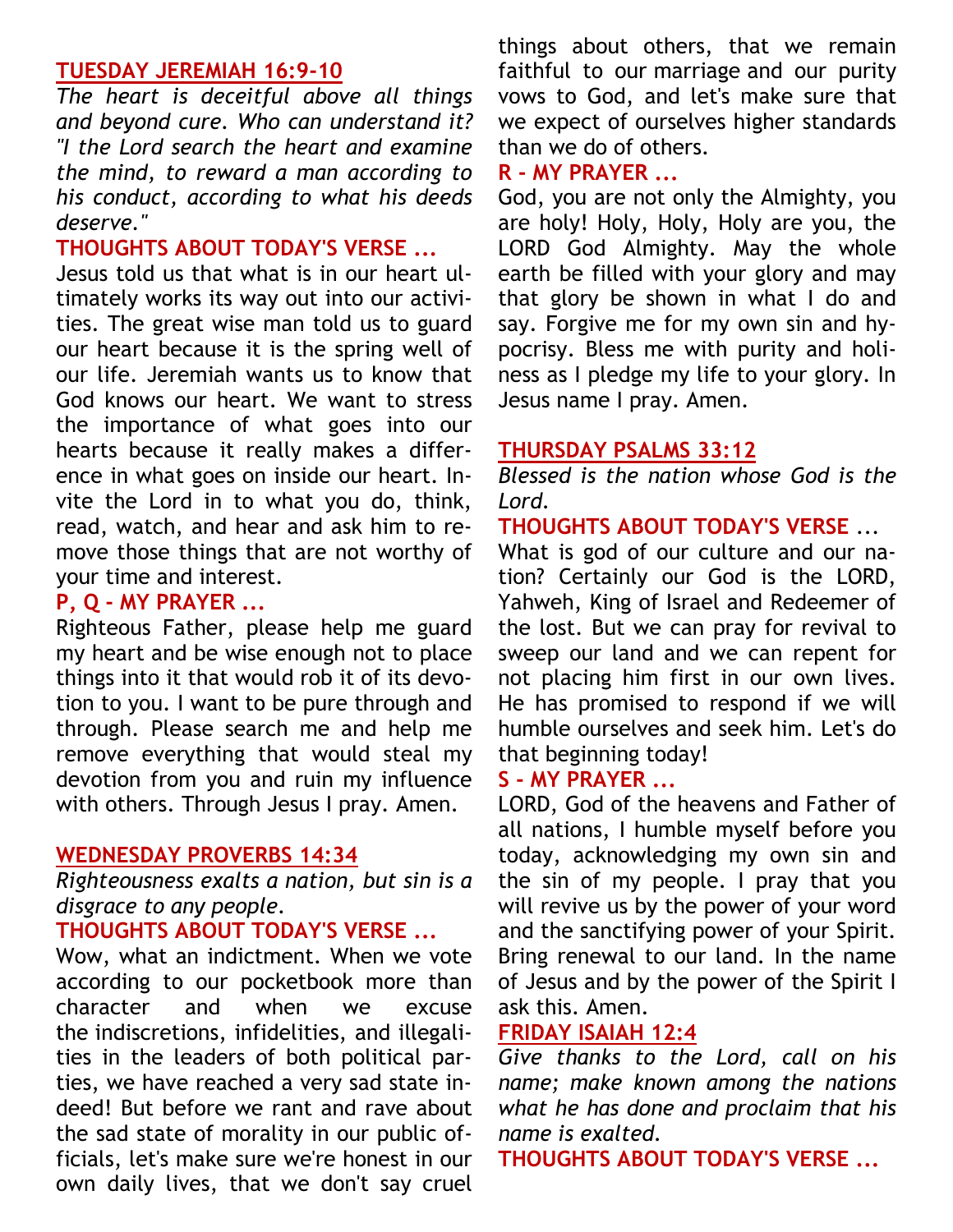#### **TUESDAY [JEREMIAH 16:9-10](https://www.biblestudytools.com/jeremiah/passage/?q=jeremiah+16:9-10)**

*The heart is deceitful above all things and beyond cure. Who can understand it? "I the Lord search the heart and examine the mind, to reward a man according to his conduct, according to what his deeds deserve."*

## **THOUGHTS ABOUT TODAY'S VERSE ...**

Jesus told us that what is in our heart ultimately works its way out into our activities. The great wise man told us to guard our heart because it is the spring well of our life. Jeremiah wants us to know that God knows our heart. We want to stress the importance of what goes into our hearts because it really makes a difference in what goes on inside our heart. Invite the Lord in to what you do, think, read, watch, and hear and ask him to remove those things that are not worthy of your time and interest.

## **P, Q - MY PRAYER ...**

Righteous Father, please help me guard my heart and be wise enough not to place things into it that would rob it of its devotion to you. I want to be pure through and through. Please search me and help me remove everything that would steal my devotion from you and ruin my influence with others. Through Jesus I pray. Amen.

#### **WEDNESDAY [PROVERBS 14:34](https://www.biblestudytools.com/proverbs/14-34.html)**

*Righteousness exalts a nation, but sin is a disgrace to any people.*

#### **THOUGHTS ABOUT TODAY'S VERSE ...**

Wow, what an indictment. When we vote according to our pocketbook more than character and when we excuse the indiscretions, infidelities, and illegalities in the leaders of both political parties, we have reached a very sad state indeed! But before we rant and rave about the sad state of morality in our public officials, let's make sure we're honest in our own daily lives, that we don't say cruel

things about others, that we remain faithful to our [marriage](https://www.crosswalk.com/family/marriage/) and our purity vows to God, and let's make sure that we expect of ourselves higher standards than we do of others.

#### **R - MY PRAYER ...**

God, you are not only the Almighty, you are holy! Holy, Holy, Holy are you, the LORD God Almighty. May the whole earth be filled with your glory and may that glory be shown in what I do and say. Forgive me for my own sin and hypocrisy. Bless me with purity and holiness as I pledge my life to your glory. In Jesus name I pray. Amen.

#### **THURSDAY [PSALMS 33:12](https://www.biblestudytools.com/psalms/33-12.html)**

*Blessed is the nation whose God is the Lord.*

**THOUGHTS ABOUT TODAY'S VERSE** ...

What is god of our culture and our nation? Certainly our God is the LORD, Yahweh, King of Israel and Redeemer of the lost. But we can pray for revival to sweep our land and we can repent for not placing him first in our own lives. He has promised to respond if we will humble ourselves and seek him. Let's do that beginning today!

#### **S - MY PRAYER ...**

LORD, God of the heavens and Father of all nations, I humble myself before you today, acknowledging my own sin and the sin of my people. I pray that you will revive us by the power of your word and the sanctifying power of your Spirit. Bring renewal to our land. In the name of Jesus and by the power of the Spirit I ask this. Amen.

## **FRIDAY [ISAIAH 12:4](https://www.biblestudytools.com/isaiah/12-4.html)**

*Give thanks to the Lord, call on his name; make known among the nations what he has done and proclaim that his name is exalted.*

**THOUGHTS ABOUT TODAY'S VERSE ...**